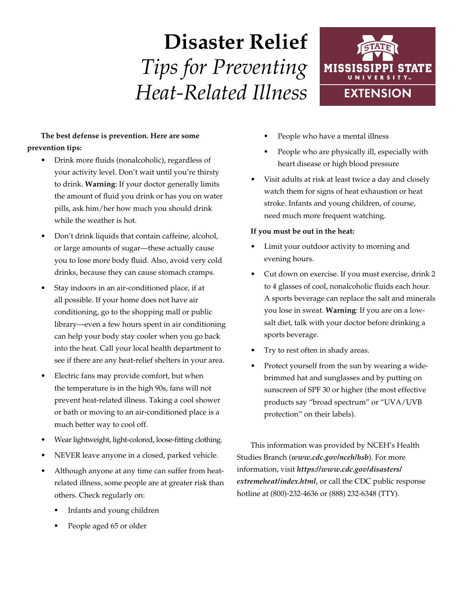# **Disaster Relief** *Tips for Preventing Heat-Related Illness*



## **The best defense is prevention. Here are some prevention tips:**

- Drink more fluids (nonalcoholic), regardless of your activity level. Don't wait until you're thirsty to drink. **Warning**: If your doctor generally limits the amount of fluid you drink or has you on water pills, ask him/her how much you should drink while the weather is hot.
- Don't drink liquids that contain caffeine, alcohol, or large amounts of sugar—these actually cause you to lose more body fluid. Also, avoid very cold drinks, because they can cause stomach cramps.
- Stay indoors in an air-conditioned place, if at all possible. If your home does not have air conditioning, go to the shopping mall or public library—even a few hours spent in air conditioning can help your body stay cooler when you go back into the heat. Call your local health department to see if there are any heat-relief shelters in your area.
- Electric fans may provide comfort, but when the temperature is in the high 90s, fans will not prevent heat-related illness. Taking a cool shower or bath or moving to an air-conditioned place is a much better way to cool off.
- Wear lightweight, light-colored, loose-fitting clothing.
- NEVER leave anyone in a closed, parked vehicle.
- Although anyone at any time can suffer from heatrelated illness, some people are at greater risk than others. Check regularly on:
	- § Infants and young children
	- People aged 65 or older
- § People who have a mental illness
- People who are physically ill, especially with heart disease or high blood pressure
- Visit adults at risk at least twice a day and closely watch them for signs of heat exhaustion or heat stroke. Infants and young children, of course, need much more frequent watching.

#### **If you must be out in the heat:**

- Limit your outdoor activity to morning and evening hours.
- Cut down on exercise. If you must exercise, drink 2 to 4 glasses of cool, nonalcoholic fluids each hour. A sports beverage can replace the salt and minerals you lose in sweat. **Warning**: If you are on a lowsalt diet, talk with your doctor before drinking a sports beverage.
- Try to rest often in shady areas.
- Protect yourself from the sun by wearing a widebrimmed hat and sunglasses and by putting on sunscreen of SPF 30 or higher (the most effective products say "broad spectrum" or "UVA/UVB protection" on their labels).

This information was provided by NCEH's Health Studies Branch (*www.cdc.gov/nceh/hsb*). For more information, visit *https://www.cdc.gov/disasters/ extremeheat/index.html*, or call the CDC public response hotline at (800)-232-4636 or (888) 232-6348 (TTY).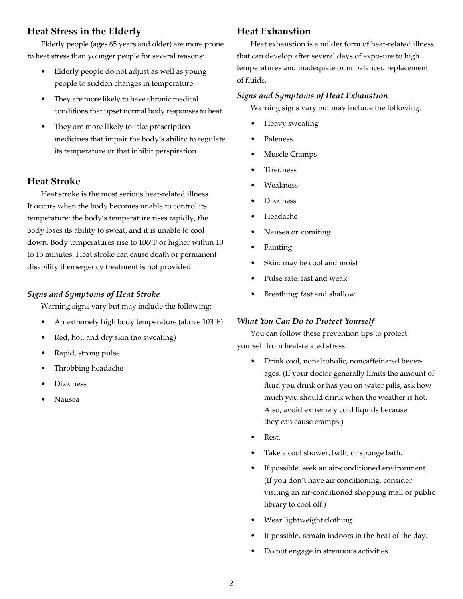# **Heat Stress in the Elderly**

Elderly people (ages 65 years and older) are more prone to heat stress than younger people for several reasons:

- Elderly people do not adjust as well as young people to sudden changes in temperature.
- They are more likely to have chronic medical conditions that upset normal body responses to heat.
- They are more likely to take prescription medicines that impair the body's ability to regulate its temperature or that inhibit perspiration.

# **Heat Stroke**

Heat stroke is the most serious heat-related illness. It occurs when the body becomes unable to control its temperature: the body's temperature rises rapidly, the body loses its ability to sweat, and it is unable to cool down. Body temperatures rise to 106°F or higher within 10 to 15 minutes. Heat stroke can cause death or permanent disability if emergency treatment is not provided.

#### *Signs and Symptoms of Heat Stroke*

Warning signs vary but may include the following:

- An extremely high body temperature (above 103°F)
- Red, hot, and dry skin (no sweating)
- Rapid, strong pulse
- Throbbing headache
- Dizziness
- Nausea

# **Heat Exhaustion**

Heat exhaustion is a milder form of heat-related illness that can develop after several days of exposure to high temperatures and inadequate or unbalanced replacement of fluids.

#### *Signs and Symptoms of Heat Exhaustion*

Warning signs vary but may include the following:

- Heavy sweating
- Paleness
- Muscle Cramps
- **Tiredness**
- Weakness
- **Dizziness**
- Headache
- Nausea or vomiting
- Fainting
- Skin: may be cool and moist
- Pulse rate: fast and weak
- Breathing: fast and shallow

#### *What You Can Do to Protect Yourself*

You can follow these prevention tips to protect yourself from heat-related stress:

- Drink cool, nonalcoholic, noncaffeinated beverages. (If your doctor generally limits the amount of fluid you drink or has you on water pills, ask how much you should drink when the weather is hot. Also, avoid extremely cold liquids because they can cause cramps.)
- Rest.
- Take a cool shower, bath, or sponge bath.
- If possible, seek an air-conditioned environment. (If you don't have air conditioning, consider visiting an air-conditioned shopping mall or public library to cool off.)
- Wear lightweight clothing.
- If possible, remain indoors in the heat of the day.
- Do not engage in strenuous activities.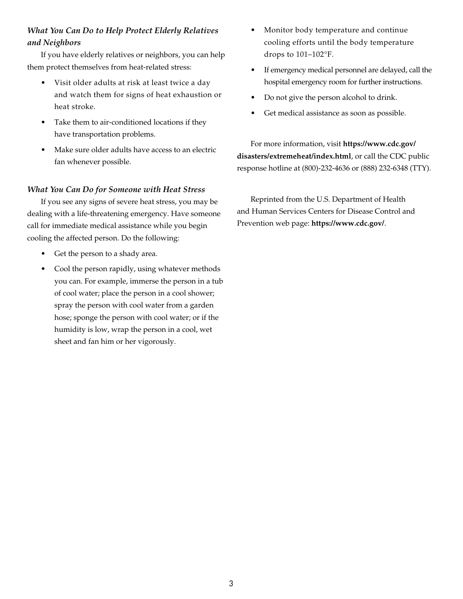## *What You Can Do to Help Protect Elderly Relatives and Neighbors*

If you have elderly relatives or neighbors, you can help them protect themselves from heat-related stress:

- Visit older adults at risk at least twice a day and watch them for signs of heat exhaustion or heat stroke.
- Take them to air-conditioned locations if they have transportation problems.
- Make sure older adults have access to an electric fan whenever possible.

#### *What You Can Do for Someone with Heat Stress*

If you see any signs of severe heat stress, you may be dealing with a life-threatening emergency. Have someone call for immediate medical assistance while you begin cooling the affected person. Do the following:

- Get the person to a shady area.
- Cool the person rapidly, using whatever methods you can. For example, immerse the person in a tub of cool water; place the person in a cool shower; spray the person with cool water from a garden hose; sponge the person with cool water; or if the humidity is low, wrap the person in a cool, wet sheet and fan him or her vigorously.
- Monitor body temperature and continue cooling efforts until the body temperature drops to 101–102°F.
- If emergency medical personnel are delayed, call the hospital emergency room for further instructions.
- Do not give the person alcohol to drink.
- Get medical assistance as soon as possible.

For more information, visit **https://www.cdc.gov/ disasters/extremeheat/index.html**, or call the CDC public response hotline at (800)-232-4636 or (888) 232-6348 (TTY).

Reprinted from the U.S. Department of Health and Human Services Centers for Disease Control and Prevention web page: **https://www.cdc.gov/**.